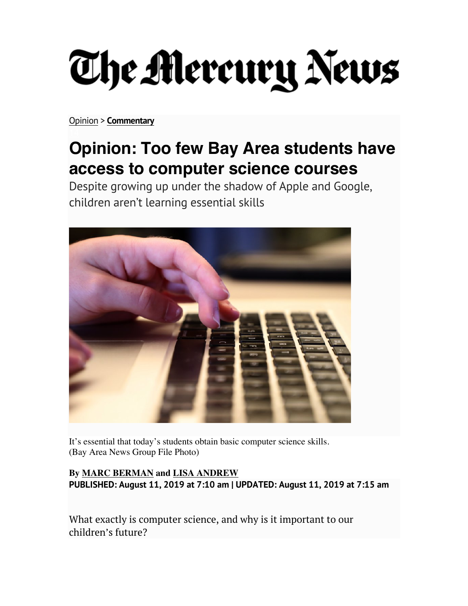## The Mercury News

Opinion > **Commentary**

## **Opinion: Too few Bay Area students have access to computer science courses**

Despite growing up under the shadow of Apple and Google, children aren't learning essential skills



It's essential that today's students obtain basic computer science skills. (Bay Area News Group File Photo)

**By MARC BERMAN and LISA ANDREW PUBLISHED: August 11, 2019 at 7:10 am | UPDATED: August 11, 2019 at 7:15 am**

What exactly is computer science, and why is it important to our children's future?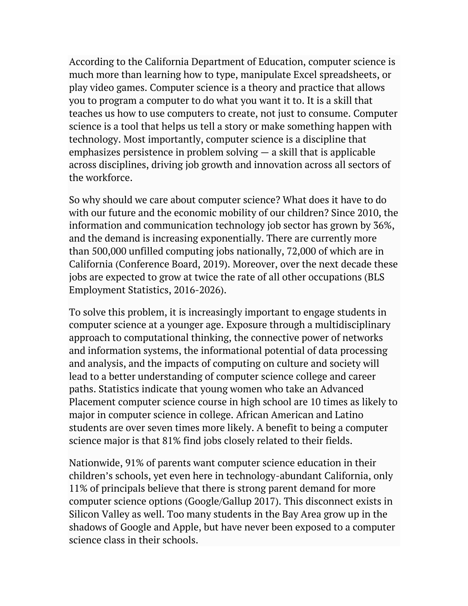According to the California Department of Education, computer science is much more than learning how to type, manipulate Excel spreadsheets, or play video games. Computer science is a theory and practice that allows you to program a computer to do what you want it to. It is a skill that teaches us how to use computers to create, not just to consume. Computer science is a tool that helps us tell a story or make something happen with technology. Most importantly, computer science is a discipline that emphasizes persistence in problem solving  $-$  a skill that is applicable across disciplines, driving job growth and innovation across all sectors of the workforce.

So why should we care about computer science? What does it have to do with our future and the economic mobility of our children? Since 2010, the information and communication technology job sector has grown by 36%, and the demand is increasing exponentially. There are currently more than 500,000 unfilled computing jobs nationally, 72,000 of which are in California (Conference Board, 2019). Moreover, over the next decade these jobs are expected to grow at twice the rate of all other occupations (BLS Employment Statistics, 2016-2026).

To solve this problem, it is increasingly important to engage students in computer science at a younger age. Exposure through a multidisciplinary approach to computational thinking, the connective power of networks and information systems, the informational potential of data processing and analysis, and the impacts of computing on culture and society will lead to a better understanding of computer science college and career paths. Statistics indicate that young women who take an Advanced Placement computer science course in high school are 10 times as likely to major in computer science in college. African American and Latino students are over seven times more likely. A benefit to being a computer science major is that 81% find jobs closely related to their fields.

Nationwide, 91% of parents want computer science education in their children's schools, yet even here in technology-abundant California, only 11% of principals believe that there is strong parent demand for more computer science options (Google/Gallup 2017). This disconnect exists in Silicon Valley as well. Too many students in the Bay Area grow up in the shadows of Google and Apple, but have never been exposed to a computer science class in their schools.